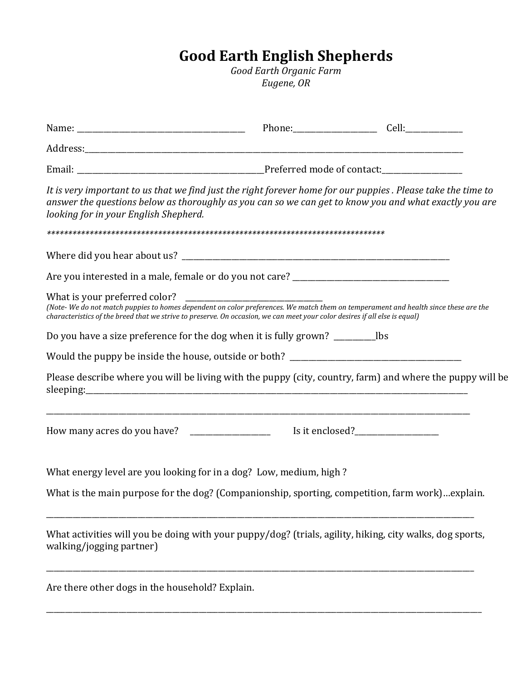## **Good Earth English Shepherds**

*Good Earth Organic Farm Eugene, OR*

| It is very important to us that we find just the right forever home for our puppies. Please take the time to<br>answer the questions below as thoroughly as you can so we can get to know you and what exactly you are<br>looking for in your English Shepherd.  |  |
|------------------------------------------------------------------------------------------------------------------------------------------------------------------------------------------------------------------------------------------------------------------|--|
|                                                                                                                                                                                                                                                                  |  |
|                                                                                                                                                                                                                                                                  |  |
|                                                                                                                                                                                                                                                                  |  |
| (Note-We do not match puppies to homes dependent on color preferences. We match them on temperament and health since these are the<br>characteristics of the breed that we strive to preserve. On occasion, we can meet your color desires if all else is equal) |  |
|                                                                                                                                                                                                                                                                  |  |
|                                                                                                                                                                                                                                                                  |  |
| Please describe where you will be living with the puppy (city, country, farm) and where the puppy will be                                                                                                                                                        |  |
|                                                                                                                                                                                                                                                                  |  |
| What energy level are you looking for in a dog? Low, medium, high?                                                                                                                                                                                               |  |
| What is the main purpose for the dog? (Companionship, sporting, competition, farm work)explain.                                                                                                                                                                  |  |
| What activities will you be doing with your puppy/dog? (trials, agility, hiking, city walks, dog sports,<br>walking/jogging partner)                                                                                                                             |  |

\_\_\_\_\_\_\_\_\_\_\_\_\_\_\_\_\_\_\_\_\_\_\_\_\_\_\_\_\_\_\_\_\_\_\_\_\_\_\_\_\_\_\_\_\_\_\_\_\_\_\_\_\_\_\_\_\_\_\_\_\_\_\_\_\_\_\_\_\_\_\_\_\_\_\_\_\_\_\_\_\_\_\_\_\_\_\_\_\_\_\_\_\_\_\_\_\_\_\_\_\_\_\_\_\_\_\_\_\_\_\_\_\_\_

Are there other dogs in the household? Explain.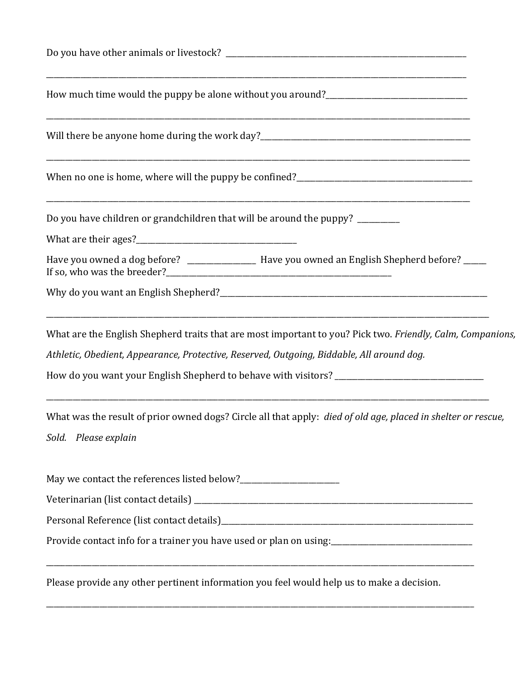| Do you have children or grandchildren that will be around the puppy? _________                                                              |
|---------------------------------------------------------------------------------------------------------------------------------------------|
| Have you owned a dog before? _________________ Have you owned an English Shepherd before? ____                                              |
|                                                                                                                                             |
| What are the English Shepherd traits that are most important to you? Pick two. Friendly, Calm, Companions,                                  |
| Athletic, Obedient, Appearance, Protective, Reserved, Outgoing, Biddable, All around dog.                                                   |
|                                                                                                                                             |
| What was the result of prior owned dogs? Circle all that apply: died of old age, placed in shelter or rescue,                               |
| Sold. Please explain                                                                                                                        |
|                                                                                                                                             |
|                                                                                                                                             |
|                                                                                                                                             |
| Provide contact info for a trainer you have used or plan on using:<br>management contact info for a trainer you have used or plan on using: |
| Please provide any other pertinent information you feel would help us to make a decision.                                                   |
|                                                                                                                                             |